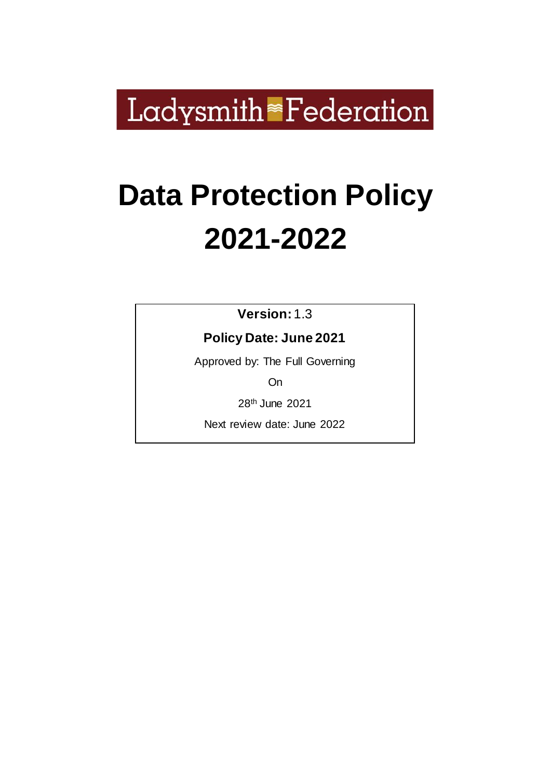Ladysmith<sup>®</sup>Federation

# **Data Protection Policy 2021-2022**

**Version:** 1.3

**Policy Date: June 2021**

Approved by: The Full Governing

On

28th June 2021

Next review date: June 2022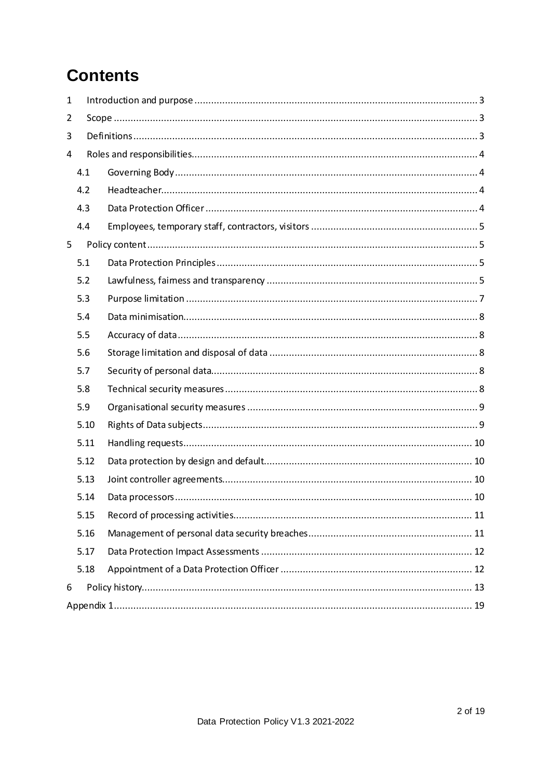## **Contents**

| 1 |      |  |  |  |
|---|------|--|--|--|
| 2 |      |  |  |  |
| 3 |      |  |  |  |
| 4 |      |  |  |  |
|   | 4.1  |  |  |  |
|   | 4.2  |  |  |  |
|   | 4.3  |  |  |  |
|   | 4.4  |  |  |  |
| 5 |      |  |  |  |
|   | 5.1  |  |  |  |
|   | 5.2  |  |  |  |
|   | 5.3  |  |  |  |
|   | 5.4  |  |  |  |
|   | 5.5  |  |  |  |
|   | 5.6  |  |  |  |
|   | 5.7  |  |  |  |
|   | 5.8  |  |  |  |
|   | 5.9  |  |  |  |
|   | 5.10 |  |  |  |
|   | 5.11 |  |  |  |
|   | 5.12 |  |  |  |
|   | 5.13 |  |  |  |
|   | 5.14 |  |  |  |
|   | 5.15 |  |  |  |
|   | 5.16 |  |  |  |
|   | 5.17 |  |  |  |
|   | 5.18 |  |  |  |
| 6 |      |  |  |  |
|   |      |  |  |  |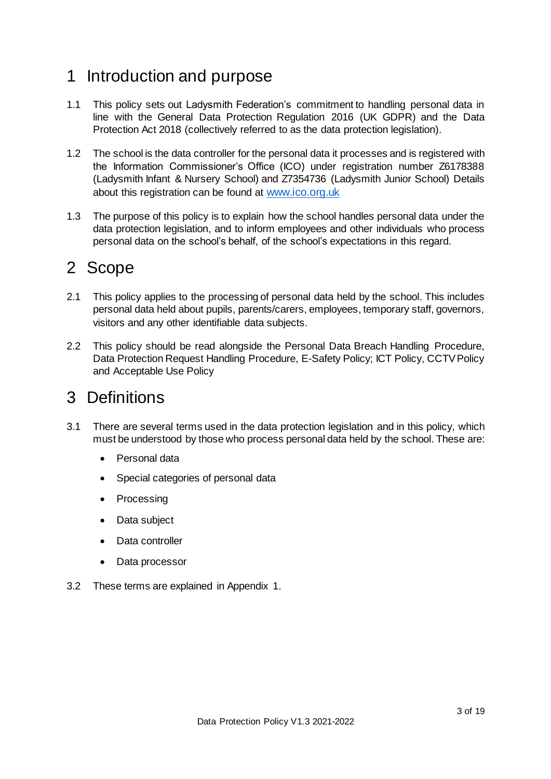## <span id="page-2-0"></span>1 Introduction and purpose

- 1.1 This policy sets out Ladysmith Federation's commitment to handling personal data in line with the General Data Protection Regulation 2016 (UK GDPR) and the Data Protection Act 2018 (collectively referred to as the data protection legislation).
- 1.2 The school is the data controller for the personal data it processes and is registered with the Information Commissioner's Office (ICO) under registration number Z6178388 (Ladysmith Infant & Nursery School) and Z7354736 (Ladysmith Junior School) Details about this registration can be found at [www.ico.org.uk](http://www.ico.org.uk/)
- 1.3 The purpose of this policy is to explain how the school handles personal data under the data protection legislation, and to inform employees and other individuals who process personal data on the school's behalf, of the school's expectations in this regard.

## <span id="page-2-1"></span>2 Scope

- 2.1 This policy applies to the processing of personal data held by the school. This includes personal data held about pupils, parents/carers, employees, temporary staff, governors, visitors and any other identifiable data subjects.
- 2.2 This policy should be read alongside the Personal Data Breach Handling Procedure, Data Protection Request Handling Procedure, E-Safety Policy; ICT Policy, CCTV Policy and Acceptable Use Policy

## <span id="page-2-2"></span>3 Definitions

- 3.1 There are several terms used in the data protection legislation and in this policy, which must be understood by those who process personal data held by the school. These are:
	- Personal data
	- Special categories of personal data
	- Processing
	- Data subject
	- Data controller
	- Data processor
- 3.2 These terms are explained in Appendix 1.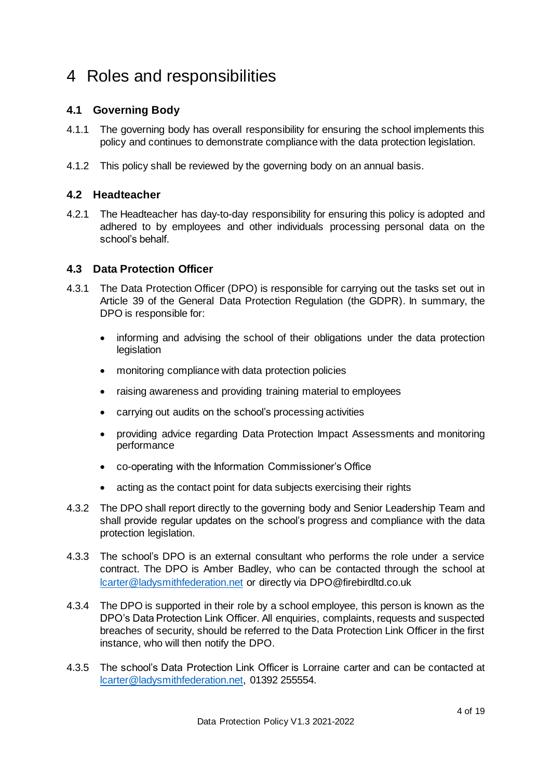## <span id="page-3-0"></span>4 Roles and responsibilities

#### <span id="page-3-1"></span>**4.1 Governing Body**

- 4.1.1 The governing body has overall responsibility for ensuring the school implements this policy and continues to demonstrate compliance with the data protection legislation.
- 4.1.2 This policy shall be reviewed by the governing body on an annual basis.

#### <span id="page-3-2"></span>**4.2 Headteacher**

4.2.1 The Headteacher has day-to-day responsibility for ensuring this policy is adopted and adhered to by employees and other individuals processing personal data on the school's behalf.

#### <span id="page-3-3"></span>**4.3 Data Protection Officer**

- 4.3.1 The Data Protection Officer (DPO) is responsible for carrying out the tasks set out in Article 39 of the General Data Protection Regulation (the GDPR). In summary, the DPO is responsible for:
	- informing and advising the school of their obligations under the data protection legislation
	- monitoring compliance with data protection policies
	- raising awareness and providing training material to employees
	- carrying out audits on the school's processing activities
	- providing advice regarding Data Protection Impact Assessments and monitoring performance
	- co-operating with the Information Commissioner's Office
	- acting as the contact point for data subjects exercising their rights
- 4.3.2 The DPO shall report directly to the governing body and Senior Leadership Team and shall provide regular updates on the school's progress and compliance with the data protection legislation.
- 4.3.3 The school's DPO is an external consultant who performs the role under a service contract. The DPO is Amber Badley, who can be contacted through the school at [lcarter@ladysmithfederation.net](mailto:lcarter@ladysmithfederation.net) or directly via DPO@firebirdltd.co.uk
- 4.3.4 The DPO is supported in their role by a school employee, this person is known as the DPO's Data Protection Link Officer. All enquiries, complaints, requests and suspected breaches of security, should be referred to the Data Protection Link Officer in the first instance, who will then notify the DPO.
- 4.3.5 The school's Data Protection Link Officer is Lorraine carter and can be contacted at [lcarter@ladysmithfederation.net,](mailto:lcarter@ladysmithfederation.net) 01392 255554.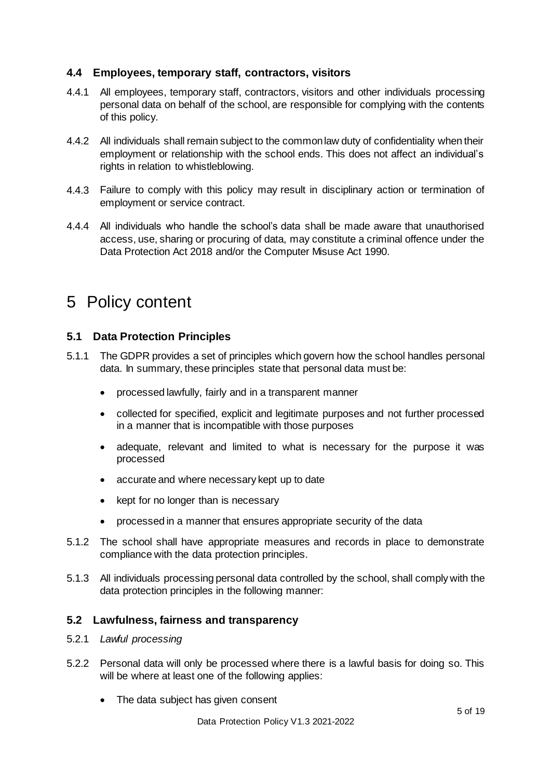#### <span id="page-4-0"></span>**4.4 Employees, temporary staff, contractors, visitors**

- 4.4.1 All employees, temporary staff, contractors, visitors and other individuals processing personal data on behalf of the school, are responsible for complying with the contents of this policy.
- 4.4.2 All individuals shall remain subject to the common law duty of confidentiality when their employment or relationship with the school ends. This does not affect an individual's rights in relation to whistleblowing.
- 4.4.3 Failure to comply with this policy may result in disciplinary action or termination of employment or service contract.
- 4.4.4 All individuals who handle the school's data shall be made aware that unauthorised access, use, sharing or procuring of data, may constitute a criminal offence under the Data Protection Act 2018 and/or the Computer Misuse Act 1990.

## <span id="page-4-1"></span>5 Policy content

#### <span id="page-4-2"></span>**5.1 Data Protection Principles**

- 5.1.1 The GDPR provides a set of principles which govern how the school handles personal data. In summary, these principles state that personal data must be:
	- processed lawfully, fairly and in a transparent manner
	- collected for specified, explicit and legitimate purposes and not further processed in a manner that is incompatible with those purposes
	- adequate, relevant and limited to what is necessary for the purpose it was processed
	- accurate and where necessary kept up to date
	- kept for no longer than is necessary
	- processed in a manner that ensures appropriate security of the data
- 5.1.2 The school shall have appropriate measures and records in place to demonstrate compliance with the data protection principles.
- 5.1.3 All individuals processing personal data controlled by the school, shall comply with the data protection principles in the following manner:

#### <span id="page-4-3"></span>**5.2 Lawfulness, fairness and transparency**

- 5.2.1 *Lawful processing*
- 5.2.2 Personal data will only be processed where there is a lawful basis for doing so. This will be where at least one of the following applies:
	- The data subject has given consent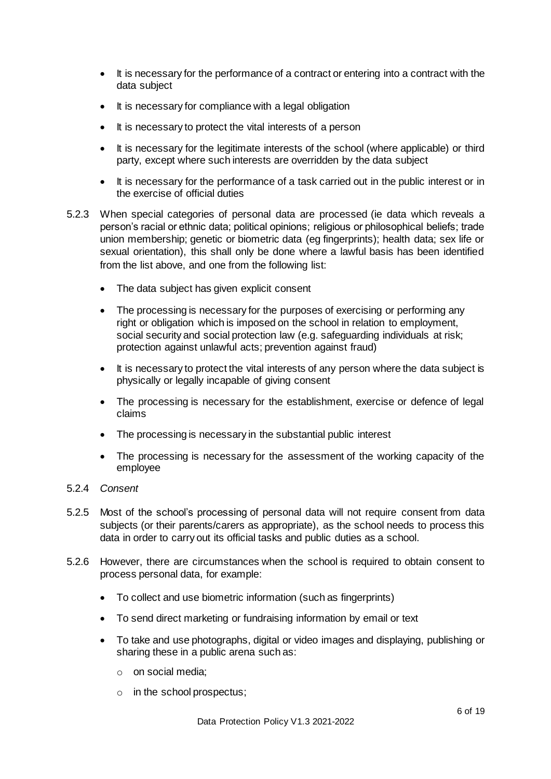- It is necessary for the performance of a contract or entering into a contract with the data subject
- It is necessary for compliance with a legal obligation
- It is necessary to protect the vital interests of a person
- It is necessary for the legitimate interests of the school (where applicable) or third party, except where such interests are overridden by the data subject
- It is necessary for the performance of a task carried out in the public interest or in the exercise of official duties
- 5.2.3 When special categories of personal data are processed (ie data which reveals a person's racial or ethnic data; political opinions; religious or philosophical beliefs; trade union membership; genetic or biometric data (eg fingerprints); health data; sex life or sexual orientation), this shall only be done where a lawful basis has been identified from the list above, and one from the following list:
	- The data subject has given explicit consent
	- The processing is necessary for the purposes of exercising or performing any right or obligation which is imposed on the school in relation to employment, social security and social protection law (e.g. safeguarding individuals at risk; protection against unlawful acts; prevention against fraud)
	- It is necessary to protect the vital interests of any person where the data subject is physically or legally incapable of giving consent
	- The processing is necessary for the establishment, exercise or defence of legal claims
	- The processing is necessary in the substantial public interest
	- The processing is necessary for the assessment of the working capacity of the employee
- 5.2.4 *Consent*
- 5.2.5 Most of the school's processing of personal data will not require consent from data subjects (or their parents/carers as appropriate), as the school needs to process this data in order to carry out its official tasks and public duties as a school.
- 5.2.6 However, there are circumstances when the school is required to obtain consent to process personal data, for example:
	- To collect and use biometric information (such as fingerprints)
	- To send direct marketing or fundraising information by email or text
	- To take and use photographs, digital or video images and displaying, publishing or sharing these in a public arena such as:
		- o on social media;
		- o in the school prospectus;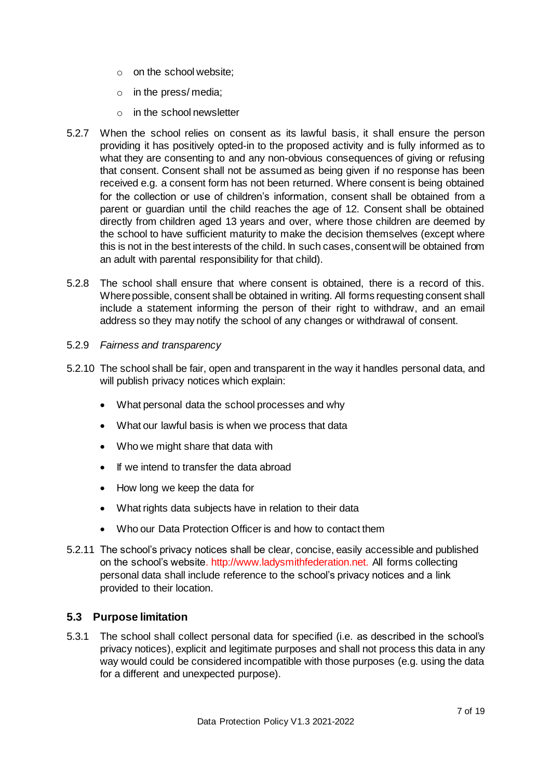- o on the school website;
- o in the press/ media;
- o in the school newsletter
- 5.2.7 When the school relies on consent as its lawful basis, it shall ensure the person providing it has positively opted-in to the proposed activity and is fully informed as to what they are consenting to and any non-obvious consequences of giving or refusing that consent. Consent shall not be assumed as being given if no response has been received e.g. a consent form has not been returned. Where consent is being obtained for the collection or use of children's information, consent shall be obtained from a parent or guardian until the child reaches the age of 12. Consent shall be obtained directly from children aged 13 years and over, where those children are deemed by the school to have sufficient maturity to make the decision themselves (except where this is not in the best interests of the child. In such cases,consentwill be obtained from an adult with parental responsibility for that child).
- 5.2.8 The school shall ensure that where consent is obtained, there is a record of this. Where possible, consent shall be obtained in writing. All forms requesting consent shall include a statement informing the person of their right to withdraw, and an email address so they may notify the school of any changes or withdrawal of consent.
- 5.2.9 *Fairness and transparency*
- 5.2.10 The school shall be fair, open and transparent in the way it handles personal data, and will publish privacy notices which explain:
	- What personal data the school processes and why
	- What our lawful basis is when we process that data
	- Who we might share that data with
	- If we intend to transfer the data abroad
	- How long we keep the data for
	- What rights data subjects have in relation to their data
	- Who our Data Protection Officer is and how to contact them
- 5.2.11 The school's privacy notices shall be clear, concise, easily accessible and published on the school's website. http://www.ladysmithfederation.net. All forms collecting personal data shall include reference to the school's privacy notices and a link provided to their location.

#### <span id="page-6-0"></span>**5.3 Purpose limitation**

5.3.1 The school shall collect personal data for specified (i.e. as described in the school's privacy notices), explicit and legitimate purposes and shall not process this data in any way would could be considered incompatible with those purposes (e.g. using the data for a different and unexpected purpose).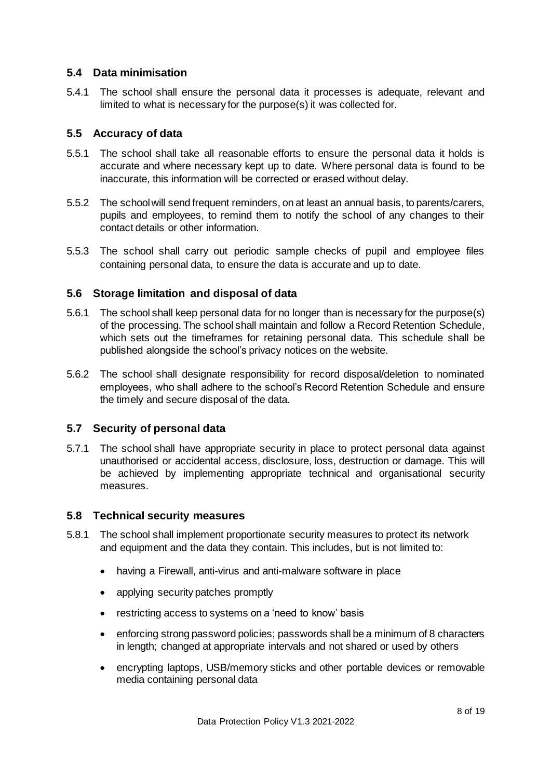#### <span id="page-7-0"></span>**5.4 Data minimisation**

5.4.1 The school shall ensure the personal data it processes is adequate, relevant and limited to what is necessary for the purpose(s) it was collected for.

#### <span id="page-7-1"></span>**5.5 Accuracy of data**

- 5.5.1 The school shall take all reasonable efforts to ensure the personal data it holds is accurate and where necessary kept up to date. Where personal data is found to be inaccurate, this information will be corrected or erased without delay.
- 5.5.2 The school will send frequent reminders, on at least an annual basis, to parents/carers, pupils and employees, to remind them to notify the school of any changes to their contact details or other information.
- 5.5.3 The school shall carry out periodic sample checks of pupil and employee files containing personal data, to ensure the data is accurate and up to date.

#### <span id="page-7-2"></span>**5.6 Storage limitation and disposal of data**

- 5.6.1 The school shall keep personal data for no longer than is necessary for the purpose(s) of the processing. The school shall maintain and follow a Record Retention Schedule, which sets out the timeframes for retaining personal data. This schedule shall be published alongside the school's privacy notices on the website.
- 5.6.2 The school shall designate responsibility for record disposal/deletion to nominated employees, who shall adhere to the school's Record Retention Schedule and ensure the timely and secure disposal of the data.

#### <span id="page-7-3"></span>**5.7 Security of personal data**

5.7.1 The school shall have appropriate security in place to protect personal data against unauthorised or accidental access, disclosure, loss, destruction or damage. This will be achieved by implementing appropriate technical and organisational security measures.

#### <span id="page-7-4"></span>**5.8 Technical security measures**

- 5.8.1 The school shall implement proportionate security measures to protect its network and equipment and the data they contain. This includes, but is not limited to:
	- having a Firewall, anti-virus and anti-malware software in place
	- applying security patches promptly
	- restricting access to systems on a 'need to know' basis
	- enforcing strong password policies; passwords shall be a minimum of 8 characters in length; changed at appropriate intervals and not shared or used by others
	- encrypting laptops, USB/memory sticks and other portable devices or removable media containing personal data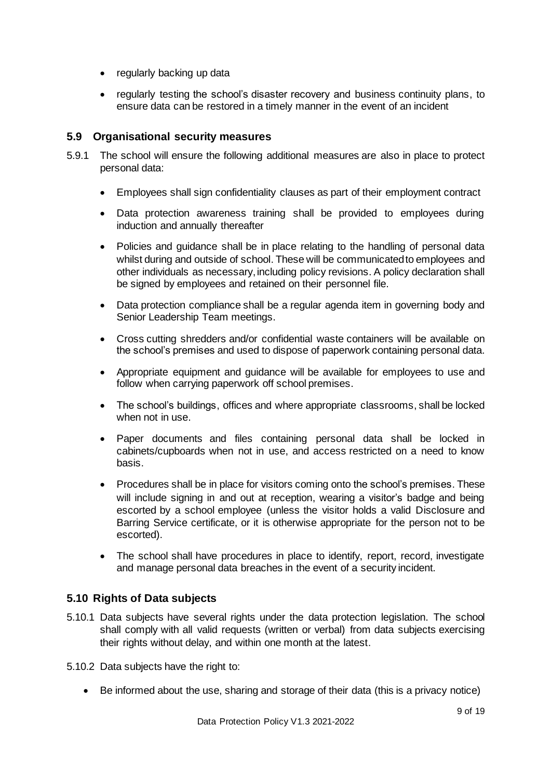- regularly backing up data
- regularly testing the school's disaster recovery and business continuity plans, to ensure data can be restored in a timely manner in the event of an incident

#### <span id="page-8-0"></span>**5.9 Organisational security measures**

- 5.9.1 The school will ensure the following additional measures are also in place to protect personal data:
	- Employees shall sign confidentiality clauses as part of their employment contract
	- Data protection awareness training shall be provided to employees during induction and annually thereafter
	- Policies and guidance shall be in place relating to the handling of personal data whilst during and outside of school. These will be communicated to employees and other individuals as necessary, including policy revisions. A policy declaration shall be signed by employees and retained on their personnel file.
	- Data protection compliance shall be a regular agenda item in governing body and Senior Leadership Team meetings.
	- Cross cutting shredders and/or confidential waste containers will be available on the school's premises and used to dispose of paperwork containing personal data.
	- Appropriate equipment and guidance will be available for employees to use and follow when carrying paperwork off school premises.
	- The school's buildings, offices and where appropriate classrooms, shall be locked when not in use.
	- Paper documents and files containing personal data shall be locked in cabinets/cupboards when not in use, and access restricted on a need to know basis.
	- Procedures shall be in place for visitors coming onto the school's premises. These will include signing in and out at reception, wearing a visitor's badge and being escorted by a school employee (unless the visitor holds a valid Disclosure and Barring Service certificate, or it is otherwise appropriate for the person not to be escorted).
	- The school shall have procedures in place to identify, report, record, investigate and manage personal data breaches in the event of a security incident.

#### <span id="page-8-1"></span>**5.10 Rights of Data subjects**

- 5.10.1 Data subjects have several rights under the data protection legislation. The school shall comply with all valid requests (written or verbal) from data subjects exercising their rights without delay, and within one month at the latest.
- 5.10.2 Data subjects have the right to:
	- Be informed about the use, sharing and storage of their data (this is a privacy notice)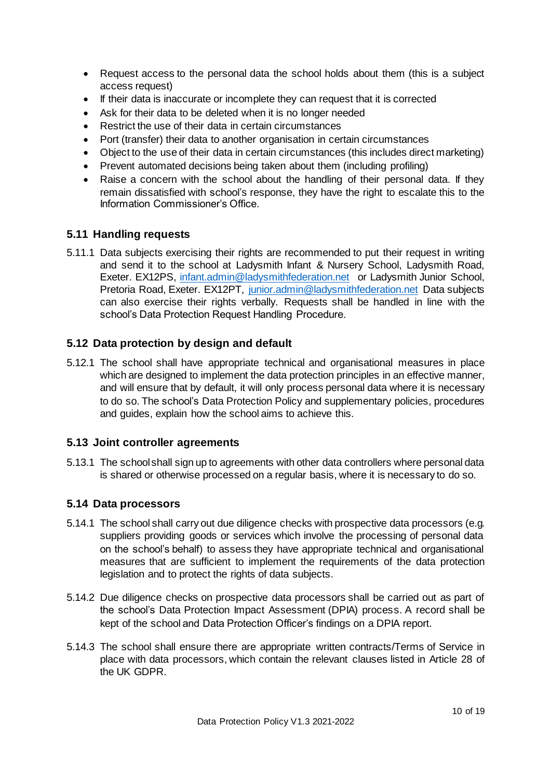- Request access to the personal data the school holds about them (this is a subject access request)
- If their data is inaccurate or incomplete they can request that it is corrected
- Ask for their data to be deleted when it is no longer needed
- Restrict the use of their data in certain circumstances
- Port (transfer) their data to another organisation in certain circumstances
- Object to the use of their data in certain circumstances (this includes direct marketing)
- Prevent automated decisions being taken about them (including profiling)
- Raise a concern with the school about the handling of their personal data. If they remain dissatisfied with school's response, they have the right to escalate this to the Information Commissioner's Office.

#### <span id="page-9-0"></span>**5.11 Handling requests**

5.11.1 Data subjects exercising their rights are recommended to put their request in writing and send it to the school at Ladysmith Infant & Nursery School, Ladysmith Road, Exeter. EX12PS, [infant.admin@ladysmithfederation.net](mailto:infant.admin@ladysmithfederation.net) or Ladysmith Junior School, Pretoria Road, Exeter. EX12PT, [junior.admin@ladysmithfederation.net](mailto:junior.admin@ladysmithfederation.net) Data subjects can also exercise their rights verbally. Requests shall be handled in line with the school's Data Protection Request Handling Procedure.

#### <span id="page-9-1"></span>**5.12 Data protection by design and default**

5.12.1 The school shall have appropriate technical and organisational measures in place which are designed to implement the data protection principles in an effective manner, and will ensure that by default, it will only process personal data where it is necessary to do so. The school's Data Protection Policy and supplementary policies, procedures and guides, explain how the school aims to achieve this.

#### <span id="page-9-2"></span>**5.13 Joint controller agreements**

5.13.1 The school shall sign up to agreements with other data controllers where personal data is shared or otherwise processed on a regular basis, where it is necessary to do so.

#### <span id="page-9-3"></span>**5.14 Data processors**

- 5.14.1 The school shall carry out due diligence checks with prospective data processors (e.g. suppliers providing goods or services which involve the processing of personal data on the school's behalf) to assess they have appropriate technical and organisational measures that are sufficient to implement the requirements of the data protection legislation and to protect the rights of data subjects.
- 5.14.2 Due diligence checks on prospective data processors shall be carried out as part of the school's Data Protection Impact Assessment (DPIA) process. A record shall be kept of the school and Data Protection Officer's findings on a DPIA report.
- 5.14.3 The school shall ensure there are appropriate written contracts/Terms of Service in place with data processors, which contain the relevant clauses listed in Article 28 of the UK GDPR.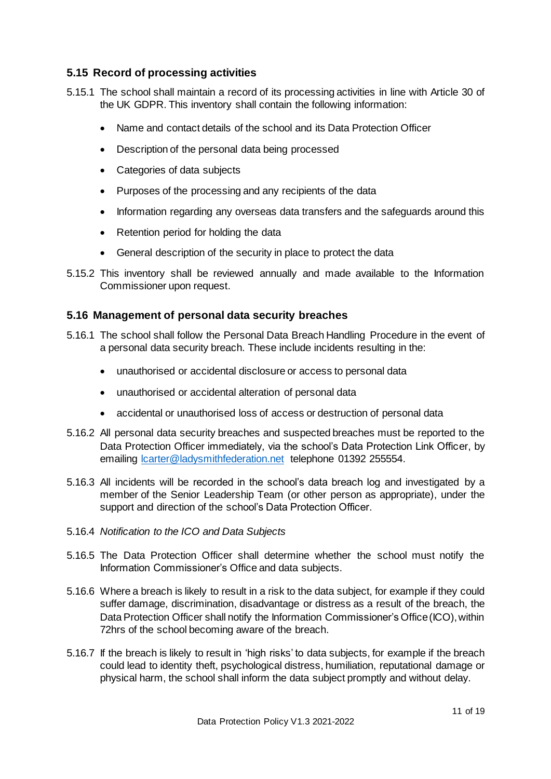#### <span id="page-10-0"></span>**5.15 Record of processing activities**

- 5.15.1 The school shall maintain a record of its processing activities in line with Article 30 of the UK GDPR. This inventory shall contain the following information:
	- Name and contact details of the school and its Data Protection Officer
	- Description of the personal data being processed
	- Categories of data subjects
	- Purposes of the processing and any recipients of the data
	- Information regarding any overseas data transfers and the safeguards around this
	- Retention period for holding the data
	- General description of the security in place to protect the data
- 5.15.2 This inventory shall be reviewed annually and made available to the Information Commissioner upon request.

#### <span id="page-10-1"></span>**5.16 Management of personal data security breaches**

- 5.16.1 The school shall follow the Personal Data Breach Handling Procedure in the event of a personal data security breach. These include incidents resulting in the:
	- unauthorised or accidental disclosure or access to personal data
	- unauthorised or accidental alteration of personal data
	- accidental or unauthorised loss of access or destruction of personal data
- 5.16.2 All personal data security breaches and suspected breaches must be reported to the Data Protection Officer immediately, via the school's Data Protection Link Officer, by emailing [lcarter@ladysmithfederation.net](mailto:lcarter@ladysmithfederation.net) telephone 01392 255554.
- 5.16.3 All incidents will be recorded in the school's data breach log and investigated by a member of the Senior Leadership Team (or other person as appropriate), under the support and direction of the school's Data Protection Officer.
- 5.16.4 *Notification to the ICO and Data Subjects*
- 5.16.5 The Data Protection Officer shall determine whether the school must notify the Information Commissioner's Office and data subjects.
- 5.16.6 Where a breach is likely to result in a risk to the data subject, for example if they could suffer damage, discrimination, disadvantage or distress as a result of the breach, the Data Protection Officer shall notify the Information Commissioner's Office (ICO), within 72hrs of the school becoming aware of the breach.
- 5.16.7 If the breach is likely to result in 'high risks' to data subjects, for example if the breach could lead to identity theft, psychological distress, humiliation, reputational damage or physical harm, the school shall inform the data subject promptly and without delay.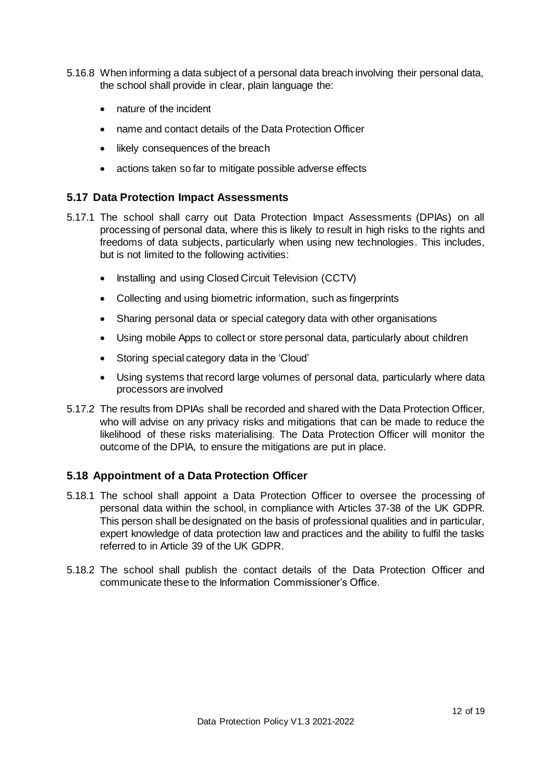- 5.16.8 When informing a data subject of a personal data breach involving their personal data, the school shall provide in clear, plain language the:
	- nature of the incident
	- name and contact details of the Data Protection Officer
	- likely consequences of the breach
	- actions taken so far to mitigate possible adverse effects

#### <span id="page-11-0"></span>**5.17 Data Protection Impact Assessments**

- 5.17.1 The school shall carry out Data Protection Impact Assessments (DPIAs) on all processing of personal data, where this is likely to result in high risks to the rights and freedoms of data subjects, particularly when using new technologies. This includes, but is not limited to the following activities:
	- Installing and using Closed Circuit Television (CCTV)
	- Collecting and using biometric information, such as fingerprints
	- Sharing personal data or special category data with other organisations
	- Using mobile Apps to collect or store personal data, particularly about children
	- Storing special category data in the 'Cloud'
	- Using systems that record large volumes of personal data, particularly where data processors are involved
- 5.17.2 The results from DPIAs shall be recorded and shared with the Data Protection Officer, who will advise on any privacy risks and mitigations that can be made to reduce the likelihood of these risks materialising. The Data Protection Officer will monitor the outcome of the DPIA, to ensure the mitigations are put in place.

#### <span id="page-11-1"></span>**5.18 Appointment of a Data Protection Officer**

- 5.18.1 The school shall appoint a Data Protection Officer to oversee the processing of personal data within the school, in compliance with Articles 37-38 of the UK GDPR. This person shall be designated on the basis of professional qualities and in particular, expert knowledge of data protection law and practices and the ability to fulfil the tasks referred to in Article 39 of the UK GDPR.
- 5.18.2 The school shall publish the contact details of the Data Protection Officer and communicate these to the Information Commissioner's Office.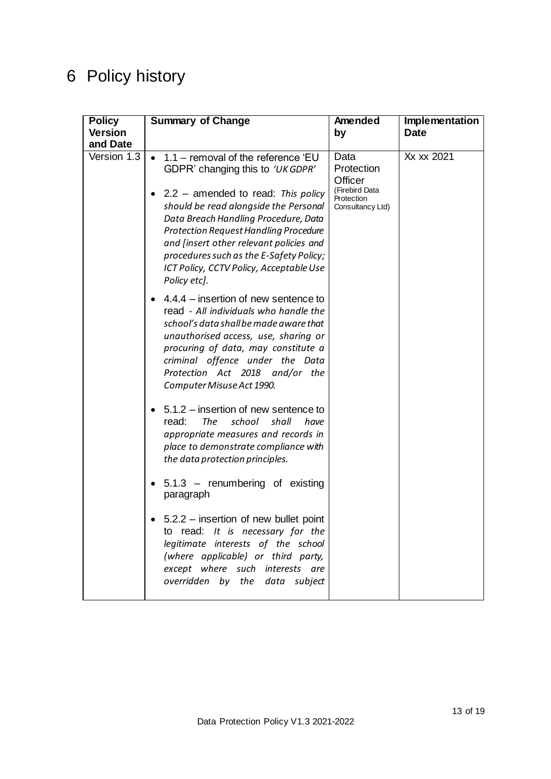# <span id="page-12-0"></span>6 Policy history

| <b>Policy</b><br><b>Version</b> | <b>Summary of Change</b>                                                                                                                                                                                                                                                                                                                                                                                      | Amended<br>by                                                                     | Implementation<br><b>Date</b> |
|---------------------------------|---------------------------------------------------------------------------------------------------------------------------------------------------------------------------------------------------------------------------------------------------------------------------------------------------------------------------------------------------------------------------------------------------------------|-----------------------------------------------------------------------------------|-------------------------------|
| and Date                        |                                                                                                                                                                                                                                                                                                                                                                                                               |                                                                                   |                               |
| Version 1.3                     | 1.1 - removal of the reference 'EU<br>$\bullet$<br>GDPR' changing this to 'UK GDPR'<br>$2.2$ – amended to read: This policy<br>should be read alongside the Personal<br>Data Breach Handling Procedure, Data<br><b>Protection Request Handling Procedure</b><br>and [insert other relevant policies and<br>procedures such as the E-Safety Policy;<br>ICT Policy, CCTV Policy, Acceptable Use<br>Policy etc]. | Data<br>Protection<br>Officer<br>(Firebird Data<br>Protection<br>Consultancy Ltd) | Xx xx 2021                    |
|                                 | $4.4.4$ – insertion of new sentence to<br>read - All individuals who handle the<br>school's data shall be made aware that<br>unauthorised access, use, sharing or<br>procuring of data, may constitute a<br>criminal offence under the Data<br>Protection Act 2018 and/or the<br>Computer Misuse Act 1990.                                                                                                    |                                                                                   |                               |
|                                 | 5.1.2 – insertion of new sentence to<br>read:<br><b>The</b><br>school<br>shall<br>have<br>appropriate measures and records in<br>place to demonstrate compliance with<br>the data protection principles.<br>$5.1.3$ – renumbering of existing<br>paragraph                                                                                                                                                    |                                                                                   |                               |
|                                 | 5.2.2 – insertion of new bullet point<br>to read: It is necessary for the<br>legitimate interests of the school<br>(where applicable) or third party,<br>except where such interests are<br>overridden by the data subject                                                                                                                                                                                    |                                                                                   |                               |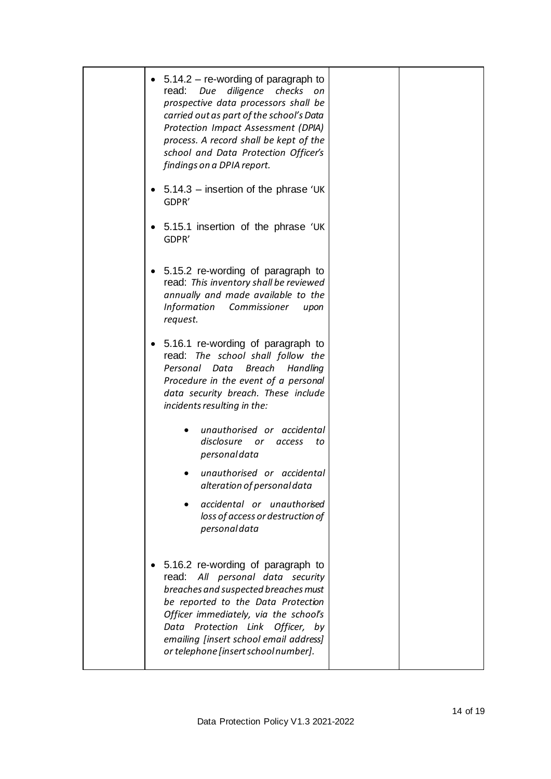| $5.14.2 -$ re-wording of paragraph to<br>read:<br>diligence<br>checks<br>Due<br>on<br>prospective data processors shall be<br>carried out as part of the school's Data<br>Protection Impact Assessment (DPIA)<br>process. A record shall be kept of the<br>school and Data Protection Officer's<br>findings on a DPIA report. |
|-------------------------------------------------------------------------------------------------------------------------------------------------------------------------------------------------------------------------------------------------------------------------------------------------------------------------------|
| $5.14.3$ – insertion of the phrase 'UK<br>GDPR'                                                                                                                                                                                                                                                                               |
| 5.15.1 insertion of the phrase 'UK<br>GDPR'                                                                                                                                                                                                                                                                                   |
| 5.15.2 re-wording of paragraph to<br>read: This inventory shall be reviewed<br>annually and made available to the<br><b>Information</b><br>Commissioner<br>upon<br>request.                                                                                                                                                   |
| 5.16.1 re-wording of paragraph to<br>read: The school shall follow the<br>Personal<br>Data<br><b>Breach</b><br>Handling<br>Procedure in the event of a personal<br>data security breach. These include<br>incidents resulting in the:                                                                                         |
| unauthorised or accidental<br>disclosure<br>or<br>access<br>to<br>personaldata                                                                                                                                                                                                                                                |
| unauthorised or accidental<br>alteration of personal data                                                                                                                                                                                                                                                                     |
| accidental or unauthorised<br>loss of access or destruction of<br>personaldata                                                                                                                                                                                                                                                |
| 5.16.2 re-wording of paragraph to<br>read: All personal data security<br>breaches and suspected breaches must<br>be reported to the Data Protection<br>Officer immediately, via the school's<br>Data Protection Link<br>Officer, by<br>emailing [insert school email address]<br>or telephone [insert school number].         |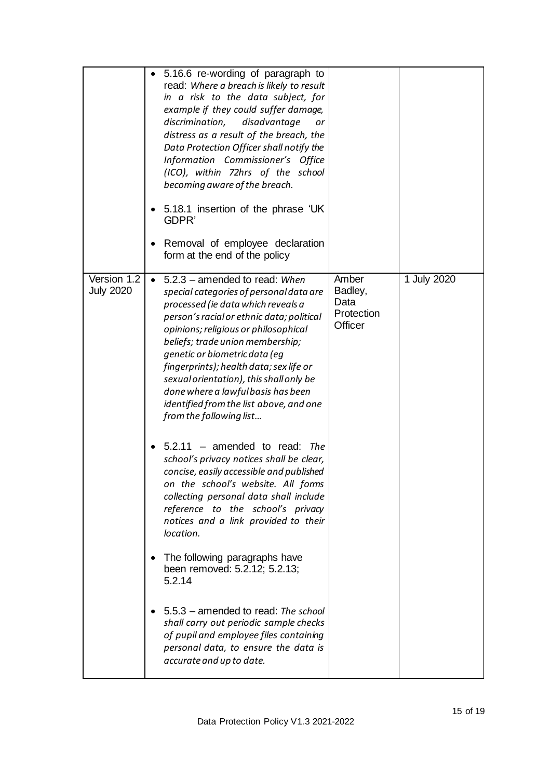|                                 | 5.16.6 re-wording of paragraph to<br>read: Where a breach is likely to result<br>in a risk to the data subject, for<br>example if they could suffer damage,<br>discrimination,<br>disadvantage<br>or<br>distress as a result of the breach, the<br>Data Protection Officer shall notify the<br>Information Commissioner's Office<br>(ICO), within 72hrs of the school<br>becoming aware of the breach.<br>5.18.1 insertion of the phrase 'UK<br>GDPR'<br>Removal of employee declaration<br>form at the end of the policy                                                                                                                                                                                                                                                                                                                                                                                                                                                                                                                                                  |                                                   |             |
|---------------------------------|----------------------------------------------------------------------------------------------------------------------------------------------------------------------------------------------------------------------------------------------------------------------------------------------------------------------------------------------------------------------------------------------------------------------------------------------------------------------------------------------------------------------------------------------------------------------------------------------------------------------------------------------------------------------------------------------------------------------------------------------------------------------------------------------------------------------------------------------------------------------------------------------------------------------------------------------------------------------------------------------------------------------------------------------------------------------------|---------------------------------------------------|-------------|
| Version 1.2<br><b>July 2020</b> | 5.2.3 - amended to read: When<br>$\bullet$<br>special categories of personal data are<br>processed (ie data which reveals a<br>person's racial or ethnic data; political<br>opinions; religious or philosophical<br>beliefs; trade union membership;<br>genetic or biometric data (eg<br>fingerprints); health data; sex life or<br>sexual orientation), this shall only be<br>done where a lawful basis has been<br>identified from the list above, and one<br>from the following list<br>$5.2.11$ – amended to read:<br>The<br>school's privacy notices shall be clear,<br>concise, easily accessible and published<br>on the school's website. All forms<br>collecting personal data shall include<br>reference to the school's privacy<br>notices and a link provided to their<br>location.<br>The following paragraphs have<br>been removed: 5.2.12; 5.2.13;<br>5.2.14<br>5.5.3 - amended to read: The school<br>shall carry out periodic sample checks<br>of pupil and employee files containing<br>personal data, to ensure the data is<br>accurate and up to date. | Amber<br>Badley,<br>Data<br>Protection<br>Officer | 1 July 2020 |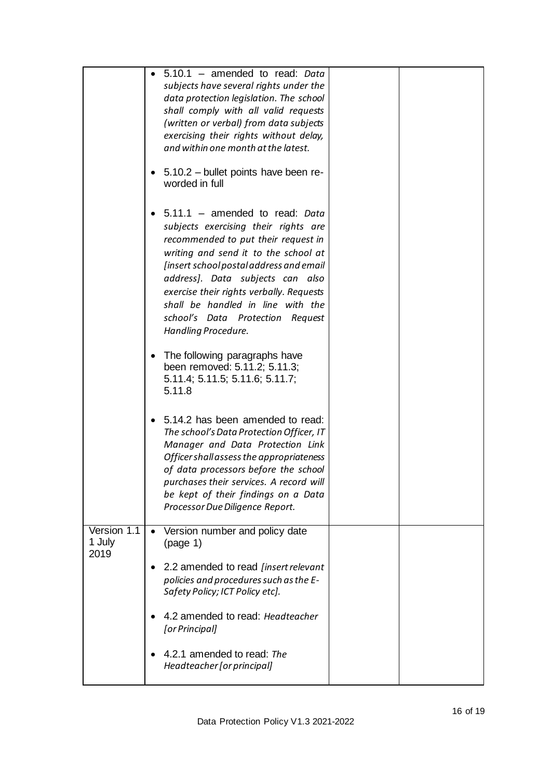|                               | $5.10.1$ – amended to read: Data<br>subjects have several rights under the<br>data protection legislation. The school<br>shall comply with all valid requests<br>(written or verbal) from data subjects<br>exercising their rights without delay,<br>and within one month at the latest.                                                                                         |
|-------------------------------|----------------------------------------------------------------------------------------------------------------------------------------------------------------------------------------------------------------------------------------------------------------------------------------------------------------------------------------------------------------------------------|
|                               | 5.10.2 - bullet points have been re-<br>worded in full                                                                                                                                                                                                                                                                                                                           |
|                               | 5.11.1 - amended to read: Data<br>subjects exercising their rights are<br>recommended to put their request in<br>writing and send it to the school at<br>[insert school postal address and email<br>address]. Data subjects can also<br>exercise their rights verbally. Requests<br>shall be handled in line with the<br>school's Data Protection Request<br>Handling Procedure. |
|                               | The following paragraphs have<br>been removed: 5.11.2; 5.11.3;<br>5.11.4; 5.11.5; 5.11.6; 5.11.7;<br>5.11.8                                                                                                                                                                                                                                                                      |
|                               | 5.14.2 has been amended to read:<br>$\bullet$<br>The school's Data Protection Officer, IT<br>Manager and Data Protection Link<br>Officer shall assess the appropriateness<br>of data processors before the school<br>purchases their services. A record will<br>be kept of their findings on a Data<br>Processor Due Diligence Report.                                           |
| Version 1.1<br>1 July<br>2019 | Version number and policy date<br>$\bullet$<br>(page 1)                                                                                                                                                                                                                                                                                                                          |
|                               | 2.2 amended to read [insert relevant<br>policies and procedures such as the E-<br>Safety Policy; ICT Policy etc].                                                                                                                                                                                                                                                                |
|                               | 4.2 amended to read: Headteacher<br>[or Principal]                                                                                                                                                                                                                                                                                                                               |
|                               | 4.2.1 amended to read: The<br>Headteacher [or principal]                                                                                                                                                                                                                                                                                                                         |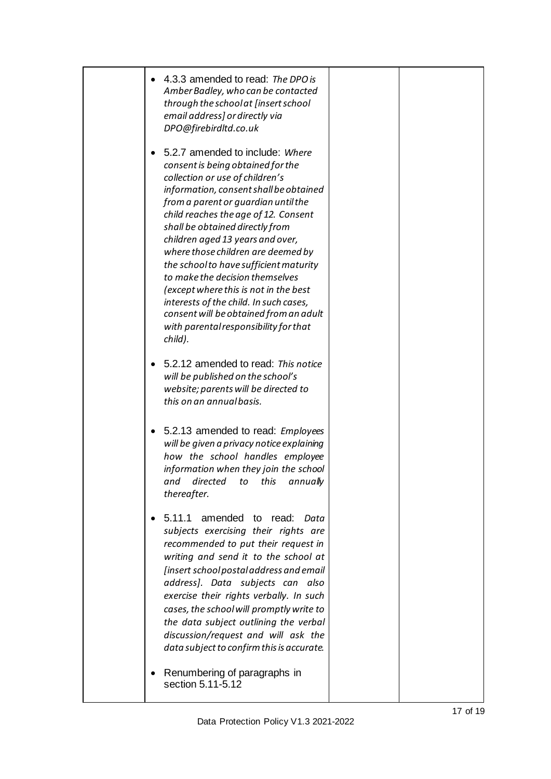| 4.3.3 amended to read: The DPO is<br>$\bullet$<br>Amber Badley, who can be contacted<br>through the school at [insert school<br>email address] or directly via<br>DPO@firebirdltd.co.uk                                                                                                                                                                                                                                                                                                                                                                                                                                  |  |
|--------------------------------------------------------------------------------------------------------------------------------------------------------------------------------------------------------------------------------------------------------------------------------------------------------------------------------------------------------------------------------------------------------------------------------------------------------------------------------------------------------------------------------------------------------------------------------------------------------------------------|--|
| 5.2.7 amended to include: Where<br>$\bullet$<br>consent is being obtained for the<br>collection or use of children's<br>information, consent shall be obtained<br>from a parent or quardian until the<br>child reaches the age of 12. Consent<br>shall be obtained directly from<br>children aged 13 years and over,<br>where those children are deemed by<br>the school to have sufficient maturity<br>to make the decision themselves<br>(except where this is not in the best<br>interests of the child. In such cases,<br>consent will be obtained from an adult<br>with parental responsibility for that<br>child). |  |
| 5.2.12 amended to read: This notice<br>$\bullet$<br>will be published on the school's<br>website; parents will be directed to<br>this on an annual basis.                                                                                                                                                                                                                                                                                                                                                                                                                                                                |  |
| 5.2.13 amended to read: Employees<br>$\bullet$<br>will be given a privacy notice explaining<br>how the school handles employee<br>information when they join the school<br>and directed to this annually<br>thereafter.                                                                                                                                                                                                                                                                                                                                                                                                  |  |
| 5.11.1<br>amended<br>to read:<br>Data<br>$\bullet$<br>subjects exercising their rights are<br>recommended to put their request in<br>writing and send it to the school at<br>[insert school postal address and email<br>address]. Data subjects can also<br>exercise their rights verbally. In such<br>cases, the school will promptly write to<br>the data subject outlining the verbal<br>discussion/request and will ask the<br>data subject to confirm this is accurate.                                                                                                                                             |  |
| Renumbering of paragraphs in<br>section 5.11-5.12                                                                                                                                                                                                                                                                                                                                                                                                                                                                                                                                                                        |  |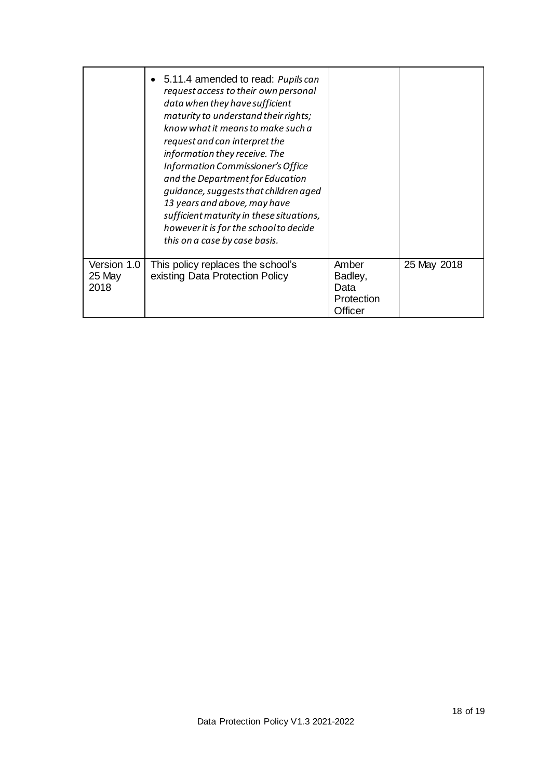|                               | • 5.11.4 amended to read: Pupils can<br>request access to their own personal<br>data when they have sufficient<br>maturity to understand their rights;<br>know what it means to make such a<br>request and can interpret the<br>information they receive. The<br>Information Commissioner's Office<br>and the Department for Education<br>quidance, suggests that children aged<br>13 years and above, may have<br>sufficient maturity in these situations,<br>however it is for the school to decide<br>this on a case by case basis. |                                                   |             |
|-------------------------------|----------------------------------------------------------------------------------------------------------------------------------------------------------------------------------------------------------------------------------------------------------------------------------------------------------------------------------------------------------------------------------------------------------------------------------------------------------------------------------------------------------------------------------------|---------------------------------------------------|-------------|
| Version 1.0<br>25 May<br>2018 | This policy replaces the school's<br>existing Data Protection Policy                                                                                                                                                                                                                                                                                                                                                                                                                                                                   | Amber<br>Badley,<br>Data<br>Protection<br>Officer | 25 May 2018 |